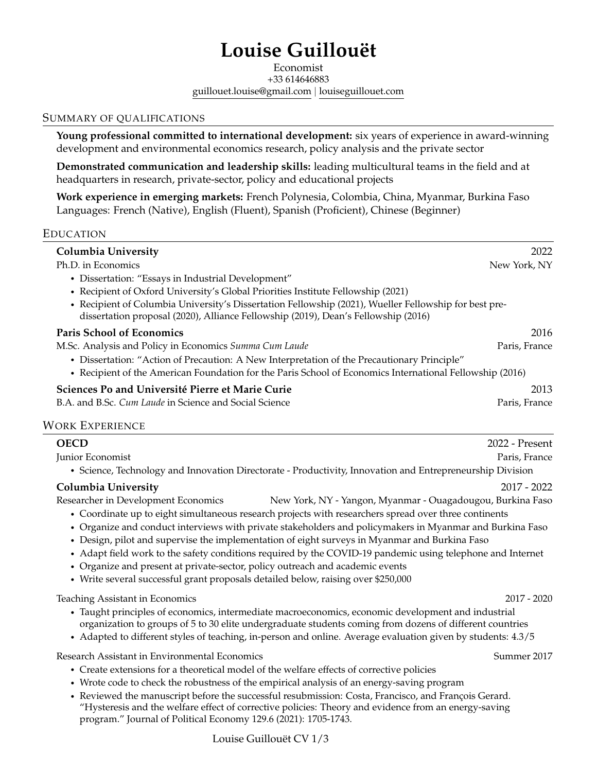# **Louise Guillouët**

Economist +33 614646883 [guillouet.louise@gmail.com](mailto:guillouet.louise@gmail.com) | [louiseguillouet.com](www.louiseguillouet.com)

### SUMMARY OF QUALIFICATIONS

**Young professional committed to international development:** six years of experience in award-winning development and environmental economics research, policy analysis and the private sector

**Demonstrated communication and leadership skills:** leading multicultural teams in the field and at headquarters in research, private-sector, policy and educational projects

**Work experience in emerging markets:** French Polynesia, Colombia, China, Myanmar, Burkina Faso Languages: French (Native), English (Fluent), Spanish (Proficient), Chinese (Beginner)

### EDUCATION

| <b>Columbia University</b>                                                                                                                                                                  | 2022          |
|---------------------------------------------------------------------------------------------------------------------------------------------------------------------------------------------|---------------|
| Ph.D. in Economics                                                                                                                                                                          | New York, NY  |
| • Dissertation: "Essays in Industrial Development"                                                                                                                                          |               |
| • Recipient of Oxford University's Global Priorities Institute Fellowship (2021)                                                                                                            |               |
| • Recipient of Columbia University's Dissertation Fellowship (2021), Wueller Fellowship for best pre-<br>dissertation proposal (2020), Alliance Fellowship (2019), Dean's Fellowship (2016) |               |
| <b>Paris School of Economics</b>                                                                                                                                                            | 2016          |
| M.Sc. Analysis and Policy in Economics Summa Cum Laude                                                                                                                                      | Paris, France |
| • Dissertation: "Action of Precaution: A New Interpretation of the Precautionary Principle"                                                                                                 |               |
| • Recipient of the American Foundation for the Paris School of Economics International Fellowship (2016)                                                                                    |               |
| Sciences Po and Université Pierre et Marie Curie                                                                                                                                            | 2013          |
| B.A. and B.Sc. Cum Laude in Science and Social Science                                                                                                                                      | Paris, France |

### WORK EXPERIENCE

| <b>OECD</b>                                                                                                                                                                                                                                                                                                                                                                                                                                                                                                                                                                                                            | 2022 - Present |
|------------------------------------------------------------------------------------------------------------------------------------------------------------------------------------------------------------------------------------------------------------------------------------------------------------------------------------------------------------------------------------------------------------------------------------------------------------------------------------------------------------------------------------------------------------------------------------------------------------------------|----------------|
| Junior Economist                                                                                                                                                                                                                                                                                                                                                                                                                                                                                                                                                                                                       | Paris, France  |
| • Science, Technology and Innovation Directorate - Productivity, Innovation and Entrepreneurship Division                                                                                                                                                                                                                                                                                                                                                                                                                                                                                                              |                |
| <b>Columbia University</b>                                                                                                                                                                                                                                                                                                                                                                                                                                                                                                                                                                                             | $2017 - 2022$  |
| Researcher in Development Economics<br>New York, NY - Yangon, Myanmar - Ouagadougou, Burkina Faso<br>• Coordinate up to eight simultaneous research projects with researchers spread over three continents<br>• Organize and conduct interviews with private stakeholders and policymakers in Myanmar and Burkina Faso<br>• Design, pilot and supervise the implementation of eight surveys in Myanmar and Burkina Faso<br>• Adapt field work to the safety conditions required by the COVID-19 pandemic using telephone and Internet<br>• Organize and present at private-sector, policy outreach and academic events |                |
| • Write several successful grant proposals detailed below, raising over \$250,000<br>Teaching Assistant in Economics                                                                                                                                                                                                                                                                                                                                                                                                                                                                                                   | $2017 - 2020$  |
| • Taught principles of economics, intermediate macroeconomics, economic development and industrial<br>organization to groups of 5 to 30 elite undergraduate students coming from dozens of different countries<br>• Adapted to different styles of teaching, in-person and online. Average evaluation given by students: 4.3/5                                                                                                                                                                                                                                                                                         |                |
| Research Assistant in Environmental Economics<br>• Create extensions for a theoretical model of the welfare effects of corrective policies                                                                                                                                                                                                                                                                                                                                                                                                                                                                             | Summer 2017    |

- Wrote code to check the robustness of the empirical analysis of an energy-saving program
- Reviewed the manuscript before the successful resubmission: Costa, Francisco, and François Gerard. "Hysteresis and the welfare effect of corrective policies: Theory and evidence from an energy-saving program." Journal of Political Economy 129.6 (2021): 1705-1743.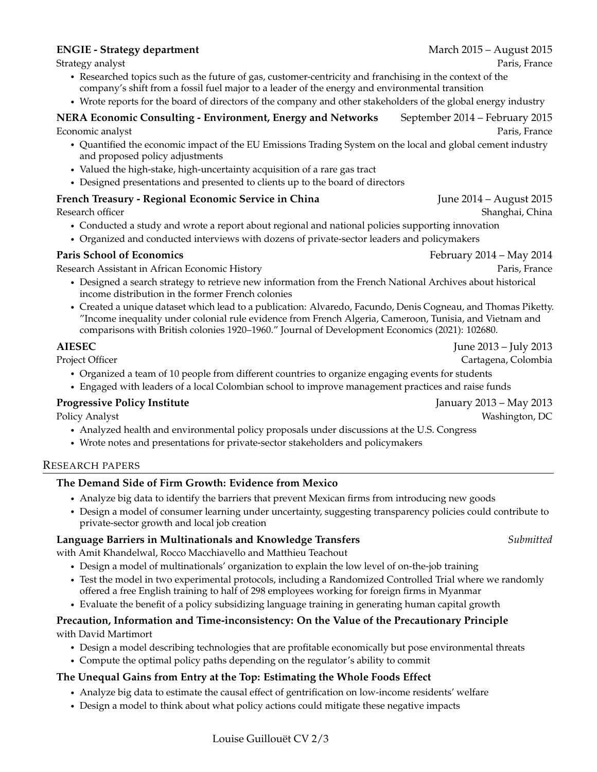### **ENGIE - Strategy department** March 2015 – August 2015

- Researched topics such as the future of gas, customer-centricity and franchising in the context of the company's shift from a fossil fuel major to a leader of the energy and environmental transition
- Wrote reports for the board of directors of the company and other stakeholders of the global energy industry

# **NERA Economic Consulting - Environment, Energy and Networks** September 2014 – February 2015 Economic analyst Paris, France

- Quantified the economic impact of the EU Emissions Trading System on the local and global cement industry and proposed policy adjustments
- Valued the high-stake, high-uncertainty acquisition of a rare gas tract
- Designed presentations and presented to clients up to the board of directors

# **French Treasury - Regional Economic Service in China** June 2014 – August 2015

- Conducted a study and wrote a report about regional and national policies supporting innovation
- Organized and conducted interviews with dozens of private-sector leaders and policymakers

# **Paris School of Economics February 2014 – May 2014**

Research Assistant in African Economic History Paris, France

- Designed a search strategy to retrieve new information from the French National Archives about historical income distribution in the former French colonies
- Created a unique dataset which lead to a publication: Alvaredo, Facundo, Denis Cogneau, and Thomas Piketty. "Income inequality under colonial rule evidence from French Algeria, Cameroon, Tunisia, and Vietnam and comparisons with British colonies 1920–1960." Journal of Development Economics (2021): 102680.

**AIESEC** July 2013 – July 2013

- Project Officer **Cartagena, Colombia** 
	- Organized a team of 10 people from different countries to organize engaging events for students
	- Engaged with leaders of a local Colombian school to improve management practices and raise funds

# **Progressive Policy Institute** And The *Progressive Policy Institute* And *January 2013 – May 2013*

Policy Analyst Washington, DC

- Analyzed health and environmental policy proposals under discussions at the U.S. Congress
- Wrote notes and presentations for private-sector stakeholders and policymakers

### RESEARCH PAPERS

# **The Demand Side of Firm Growth: Evidence from Mexico**

- Analyze big data to identify the barriers that prevent Mexican firms from introducing new goods
- Design a model of consumer learning under uncertainty, suggesting transparency policies could contribute to private-sector growth and local job creation

# **Language Barriers in Multinationals and Knowledge Transfers** *Submitted*

with Amit Khandelwal, Rocco Macchiavello and Matthieu Teachout

- Design a model of multinationals' organization to explain the low level of on-the-job training
- Test the model in two experimental protocols, including a Randomized Controlled Trial where we randomly offered a free English training to half of 298 employees working for foreign firms in Myanmar
- Evaluate the benefit of a policy subsidizing language training in generating human capital growth

### **Precaution, Information and Time-inconsistency: On the Value of the Precautionary Principle** with David Martimort

- Design a model describing technologies that are profitable economically but pose environmental threats
- Compute the optimal policy paths depending on the regulator's ability to commit

# **The Unequal Gains from Entry at the Top: Estimating the Whole Foods Effect**

- Analyze big data to estimate the causal effect of gentrification on low-income residents' welfare
- Design a model to think about what policy actions could mitigate these negative impacts

Research officer Shanghai, China and Shanghai, China and Shanghai, China and Shanghai, China and Shanghai, China and Shanghai, China and Shanghai, China and Shanghai, China and Shanghai, China and Shanghai, China and Shang